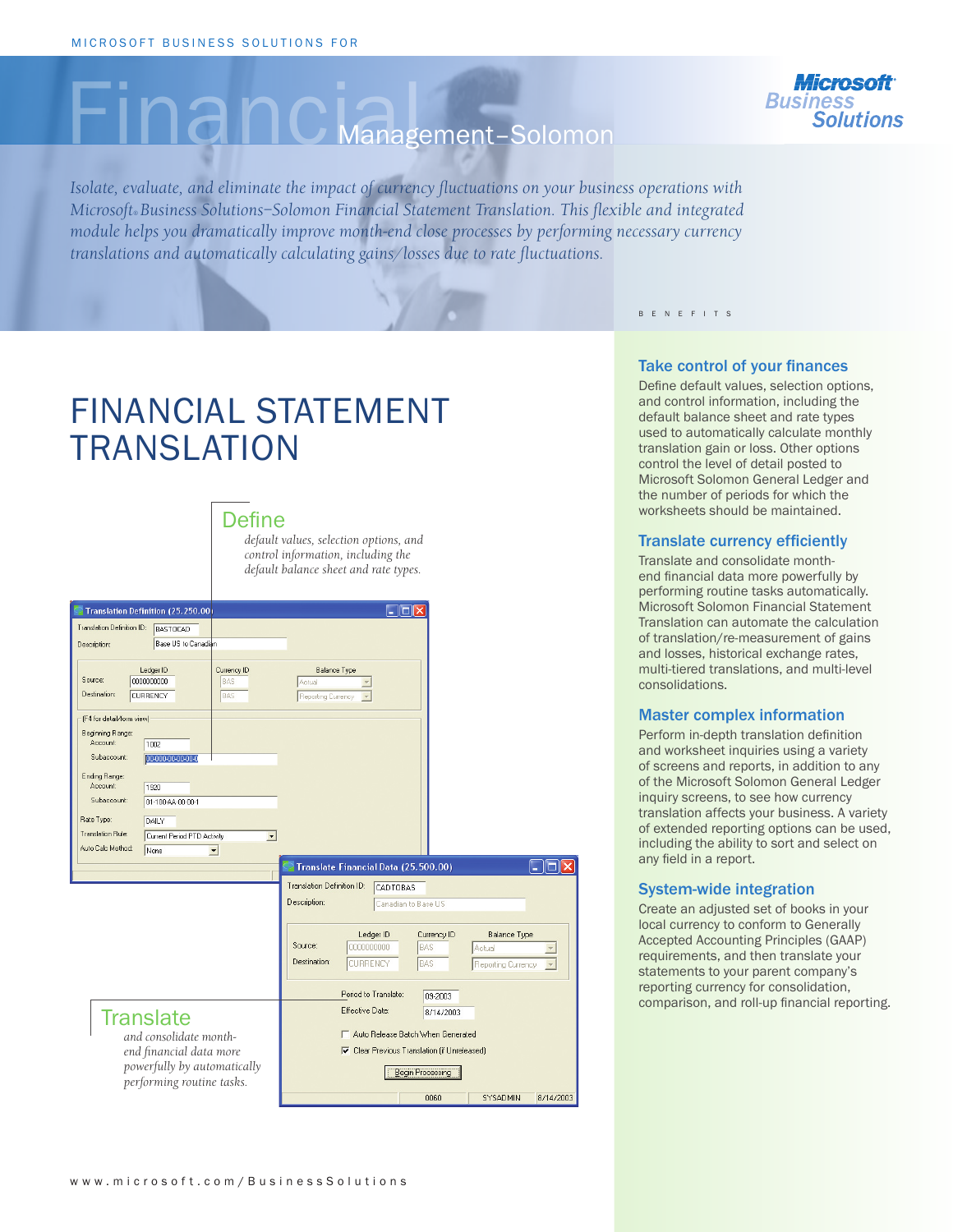# Management-Solomon

*Isolate, evaluate, and eliminate the impact of currency fluctuations on your business operations with Microsoft® Business Solutions–Solomon Financial Statement Translation. This flexible and integrated module helps you dramatically improve month-end close processes by performing necessary currency translations and automatically calculating gains/losses due to rate fluctuations.* 

B E N E F I T S

## FINANCIAL STATEMENT **TRANSLATION**



*default values, selection options, and control information, including the default balance sheet and rate types.*



#### Take control of your finances

Define default values, selection options, and control information, including the default balance sheet and rate types used to automatically calculate monthly translation gain or loss. Other options control the level of detail posted to Microsoft Solomon General Ledger and the number of periods for which the worksheets should be maintained.

#### Translate currency efficiently

Translate and consolidate monthend financial data more powerfully by performing routine tasks automatically. Microsoft Solomon Financial Statement Translation can automate the calculation of translation/re-measurement of gains and losses, historical exchange rates, multi-tiered translations, and multi-level consolidations.

#### Master complex information

Perform in-depth translation definition and worksheet inquiries using a variety of screens and reports, in addition to any of the Microsoft Solomon General Ledger inquiry screens, to see how currency translation affects your business. A variety of extended reporting options can be used, including the ability to sort and select on any field in a report.

#### System-wide integration

Create an adjusted set of books in your local currency to conform to Generally Accepted Accounting Principles (GAAP) requirements, and then translate your statements to your parent company's reporting currency for consolidation, comparison, and roll-up financial reporting.